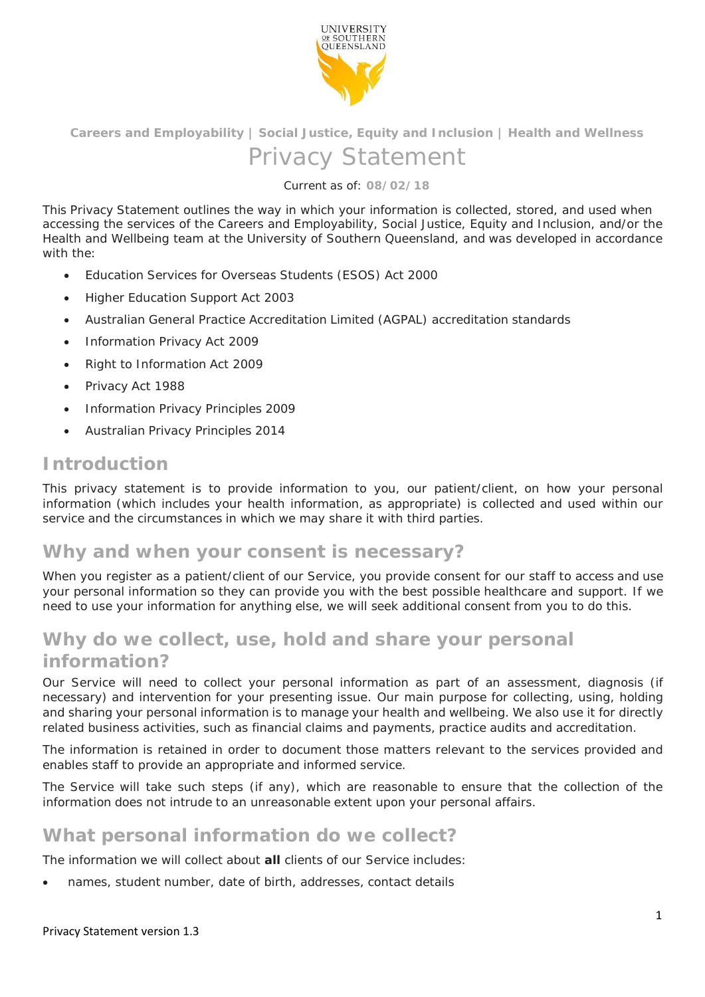

**Careers and Employability | Social Justice, Equity and Inclusion | Health and Wellness** 

## Privacy Statement

Current as of: **08/02/18**

This Privacy Statement outlines the way in which your information is collected, stored, and used when accessing the services of the Careers and Employability, Social Justice, Equity and Inclusion, and/or the Health and Wellbeing team at the University of Southern Queensland, and was developed in accordance with the:

- *Education Services for Overseas Students (ESOS) Act 2000*
- *Higher Education Support Act 2003*
- *Australian General Practice Accreditation Limited (AGPAL) accreditation standards*
- *Information Privacy Act 2009*
- *Right to Information Act 2009*
- *Privacy Act 1988*
- *Information Privacy Principles 2009*
- *Australian Privacy Principles 2014*

### **Introduction**

This privacy statement is to provide information to you, our patient/client, on how your personal information (which includes your health information, as appropriate) is collected and used within our service and the circumstances in which we may share it with third parties.

### **Why and when your consent is necessary?**

When you register as a patient/client of our Service, you provide consent for our staff to access and use your personal information so they can provide you with the best possible healthcare and support. If we need to use your information for anything else, we will seek additional consent from you to do this.

# **Why do we collect, use, hold and share your personal**

#### **information?**

Our Service will need to collect your personal information as part of an assessment, diagnosis (if necessary) and intervention for your presenting issue. Our main purpose for collecting, using, holding and sharing your personal information is to manage your health and wellbeing. We also use it for directly related business activities, such as financial claims and payments, practice audits and accreditation.

The information is retained in order to document those matters relevant to the services provided and enables staff to provide an appropriate and informed service.

The Service will take such steps (if any), which are reasonable to ensure that the collection of the information does not intrude to an unreasonable extent upon your personal affairs.

### **What personal information do we collect?**

The information we will collect about **all** clients of our Service includes:

names, student number, date of birth, addresses, contact details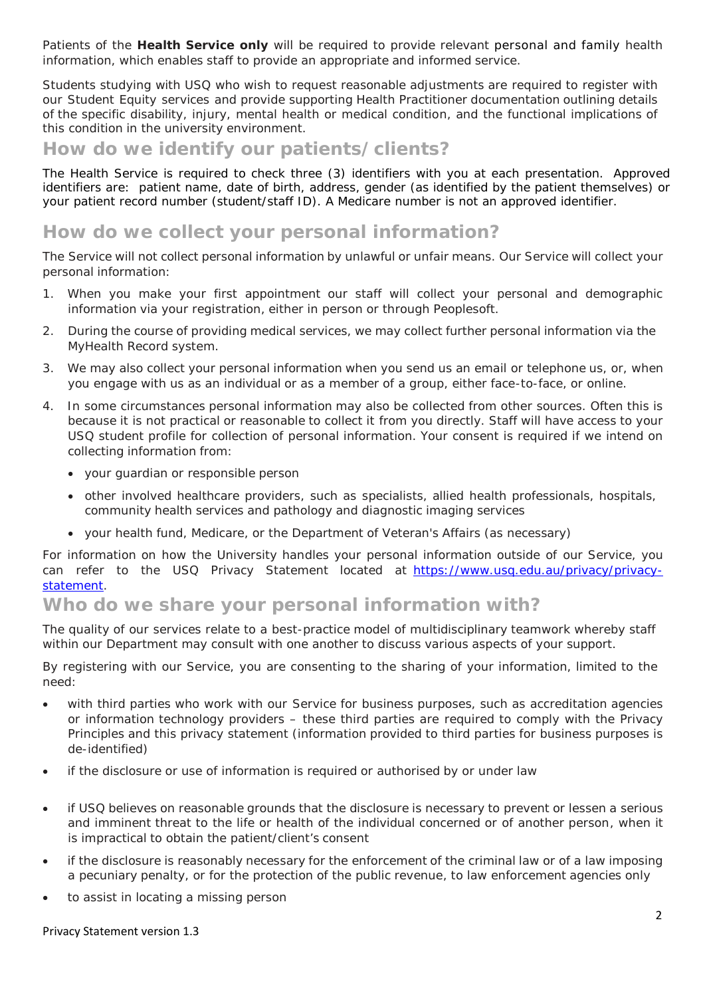Patients of the **Health Service only** will be required to provide relevant personal and family health information, which enables staff to provide an appropriate and informed service.

Students studying with USQ who wish to request reasonable adjustments are required to register with our Student Equity services and provide supporting Health Practitioner documentation outlining details of the specific disability, injury, mental health or medical condition, and the functional implications of this condition in the university environment.

### **How do we identify our patients/clients?**

The Health Service is required to check three (3) identifiers with you at each presentation. Approved identifiers are: patient name, date of birth, address, gender (as identified by the patient themselves) or your patient record number (student/staff ID). A Medicare number is not an approved identifier.

### **How do we collect your personal information?**

The Service will not collect personal information by unlawful or unfair means. Our Service will collect your personal information:

- 1. When you make your first appointment our staff will collect your personal and demographic information via your registration, either in person or through Peoplesoft.
- 2. During the course of providing medical services, we may collect further personal information via the MyHealth Record system.
- 3. We may also collect your personal information when you send us an email or telephone us, or, when you engage with us as an individual or as a member of a group, either face-to-face, or online.
- 4. In some circumstances personal information may also be collected from other sources. Often this is because it is not practical or reasonable to collect it from you directly. Staff will have access to your USQ student profile for collection of personal information. Your consent is required if we intend on collecting information from:
	- your guardian or responsible person
	- other involved healthcare providers, such as specialists, allied health professionals, hospitals, community health services and pathology and diagnostic imaging services
	- your health fund, Medicare, or the Department of Veteran's Affairs (as necessary)

For information on how the University handles your personal information outside of our Service, you can refer to the USQ Privacy Statement located at https://www.usq.edu.au/privacy/privacystatement.

### **Who do we share your personal information with?**

The quality of our services relate to a best-practice model of multidisciplinary teamwork whereby staff within our Department may consult with one another to discuss various aspects of your support.

By registering with our Service, you are consenting to the sharing of your information, limited to the need:

- with third parties who work with our Service for business purposes, such as accreditation agencies or information technology providers – these third parties are required to comply with the Privacy Principles and this privacy statement (information provided to third parties for business purposes is de-identified)
- if the disclosure or use of information is required or authorised by or under law
- if USQ believes on reasonable grounds that the disclosure is necessary to prevent or lessen a serious and imminent threat to the life or health of the individual concerned or of another person, when it is impractical to obtain the patient/client's consent
- if the disclosure is reasonably necessary for the enforcement of the criminal law or of a law imposing a pecuniary penalty, or for the protection of the public revenue, to law enforcement agencies only
- to assist in locating a missing person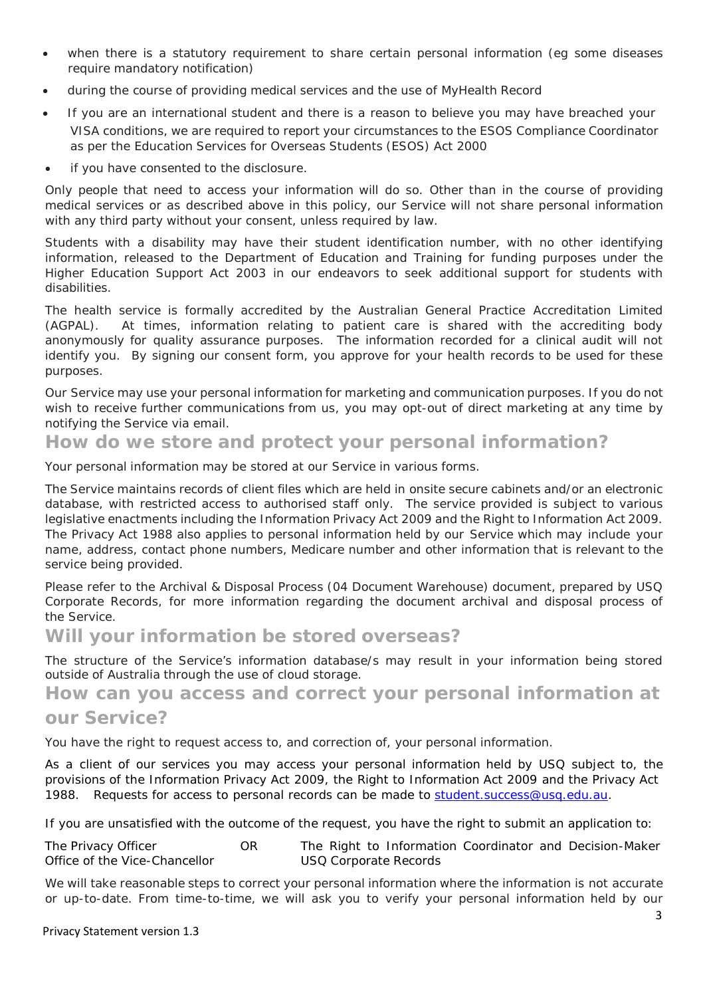- when there is a statutory requirement to share certain personal information (eg some diseases require mandatory notification)
- during the course of providing medical services and the use of MyHealth Record
- If you are an international student and there is a reason to believe you may have breached your VISA conditions, we are required to report your circumstances to the ESOS Compliance Coordinator as per the *Education Services for Overseas Students (ESOS) Act 2000*
- if you have consented to the disclosure.

Only people that need to access your information will do so. Other than in the course of providing medical services or as described above in this policy, our Service will not share personal information with any third party without your consent, unless required by law.

Students with a disability may have their student identification number, with no other identifying information, released to the Department of Education and Training for funding purposes under the *Higher Education Support Act 2003* in our endeavors to seek additional support for students with disabilities.

The health service is formally accredited by the Australian General Practice Accreditation Limited (AGPAL). At times, information relating to patient care is shared with the accrediting body anonymously for quality assurance purposes. The information recorded for a clinical audit will not identify you. By signing our consent form, you approve for your health records to be used for these purposes.

Our Service may use your personal information for marketing and communication purposes. If you do not wish to receive further communications from us, you may opt-out of direct marketing at any time by notifying the Service via email.

### **How do we store and protect your personal information?**

Your personal information may be stored at our Service in various forms.

The Service maintains records of client files which are held in onsite secure cabinets and/or an electronic database, with restricted access to authorised staff only. The service provided is subject to various legislative enactments including the *Information Privacy Act 2009* and the *Right to Information Act 2009.*  The *Privacy Act 1988* also applies to personal information held by our Service which may include your name, address, contact phone numbers, Medicare number and other information that is relevant to the service being provided.

Please refer to the Archival & Disposal Process (04 Document Warehouse) document, prepared by USQ Corporate Records, for more information regarding the document archival and disposal process of the Service.

### **Will your information be stored overseas?**

The structure of the Service's information database/s may result in your information being stored outside of Australia through the use of cloud storage.

**How can you access and correct your personal information at** 

### **our Service?**

You have the right to request access to, and correction of, your personal information.

As a client of our services you may access your personal information held by USQ subject to, the provisions of the *Information Privacy Act 2009*, the *Right to Information Act 2009* and the *Privacy Act 1988.* Requests for access to personal records can be made to student.success@usq.edu.au.

If you are unsatisfied with the outcome of the request, you have the right to submit an application to:

*The Privacy Officer OR The Right to Information Coordinator and Decision-Maker Office of the Vice-Chancellor USQ Corporate Records*

We will take reasonable steps to correct your personal information where the information is not accurate or up-to-date. From time-to-time, we will ask you to verify your personal information held by our